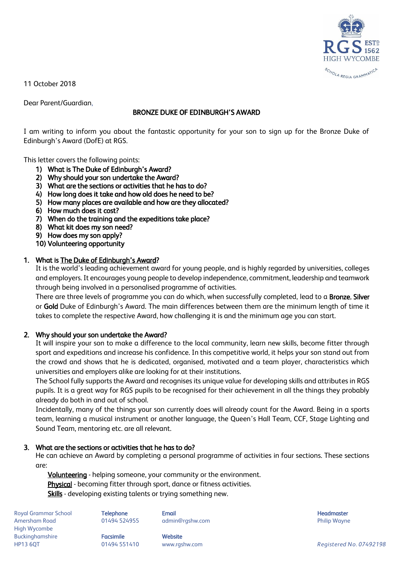

11 October 2018

Dear Parent/Guardian,

## BRONZE DUKE OF EDINBURGH'S AWARD

I am writing to inform you about the fantastic opportunity for your son to sign up for the Bronze Duke of Edinburgh's Award (DofE) at RGS.

This letter covers the following points:

- 1) What is The Duke of Edinburgh's Award?
- 2) Why should your son undertake the Award?
- 3) What are the sections or activities that he has to do?
- 4) How long does it take and how old does he need to be?
- 5) How many places are available and how are they allocated?
- 6) How much does it cost?
- 7) When do the training and the expeditions take place?
- 8) What kit does my son need?
- 9) How does my son apply?
- 10) Volunteering opportunity

## 1. What is [The Duke of Edinburgh's Award](https://www.dofe.org/)?

It is the world's leading achievement award for young people, and is highly regarded by universities, colleges and employers. It encourages young people to develop independence, commitment, leadership and teamwork through being involved in a personalised programme of activities.

There are three levels of programme you can do which, when successfully completed, lead to a **Bronze, Silver** or Gold Duke of Edinburgh's Award. The main differences between them are the minimum length of time it takes to complete the respective Award, how challenging it is and the minimum age you can start.

# 2. Why should your son undertake the Award?

It will inspire your son to make a difference to the local community, learn new skills, become fitter through sport and expeditions and increase his confidence. In this competitive world, it helps your son stand out from the crowd and shows that he is dedicated, organised, motivated and a team player, characteristics which universities and employers alike are looking for at their institutions.

The School fully supports the Award and recognises its unique value for developing skills and attributes in RGS pupils. It is a great way for RGS pupils to be recognised for their achievement in all the things they probably already do both in and out of school.

Incidentally, many of the things your son currently does will already count for the Award. Being in a sports team, learning a musical instrument or another language, the Queen's Hall Team, CCF, Stage Lighting and Sound Team, mentoring etc. are all relevant.

#### 3. What are the sections or activities that he has to do?

He can achieve an Award by completing a personal programme of activities in four sections. These sections are:

[Volunteering](https://www.dofe.org/doing-your-dofe/activities-sections/volunteering/) - helping someone, your community or the environment. **Physical** - becoming fitter through sport, dance or fitness activities. [Skills -](https://www.dofe.org/doing-your-dofe/activities-sections/skills/) developing existing talents or trying something new.

Royal Grammar School **Telephone Email Headmaster Email Headmaster Headmaster Headmaster** Amersham Road **8. Community 1948 124955** admin@rgshw.com **Community Community Philip Wayne** High Wycombe Buckinghamshire **Facsimile Facsimile** Website

HP13 6QT 01494 551410 www.rgshw.com *Registered No. 07492198*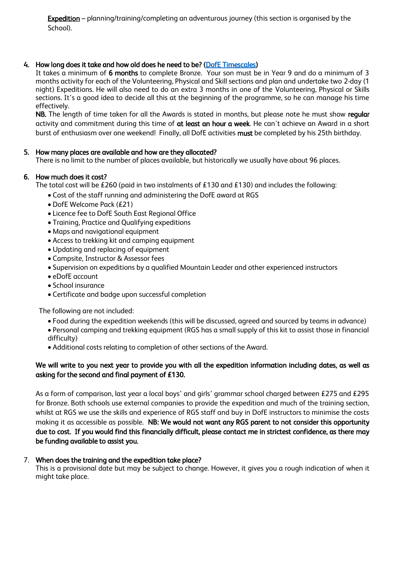Expedition – planning/training/completing an adventurous journey (this section is organised by the School).

## 4. How long does it take and how old does he need to be? [\(DofE Timescales\)](https://www.rgshw.com/_site/data/files/documents/school%20life/d%20of%20e/EC823C5534A152211BE6D1F88F88D400.pdf)

It takes a minimum of 6 months to complete Bronze. Your son must be in Year 9 and do a minimum of 3 months activity for each of the Volunteering, Physical and Skill sections and plan and undertake two 2-day (1 night) Expeditions. He will also need to do an extra 3 months in one of the Volunteering, Physical or Skills sections. It's a good idea to decide all this at the beginning of the programme, so he can manage his time effectively.

NB. The length of time taken for all the Awards is stated in months, but please note he must show regular activity and commitment during this time of at least an hour a week. He can't achieve an Award in a short burst of enthusiasm over one weekend! Finally, all DofE activities must be completed by his 25th birthday.

## 5. How many places are available and how are they allocated?

There is no limit to the number of places available, but historically we usually have about 96 places.

## 6. How much does it cost?

The total cost will be £260 (paid in two instalments of £130 and £130) and includes the following:

- Cost of the staff running and administering the DofE award at RGS
- DofE Welcome Pack (£21)
- Licence fee to DofE South East Regional Office
- Training, Practice and Qualifying expeditions
- Maps and navigational equipment
- Access to trekking kit and camping equipment
- Updating and replacing of equipment
- Campsite, Instructor & Assessor fees
- Supervision on expeditions by a qualified Mountain Leader and other experienced instructors
- eDofE account
- School insurance
- Certificate and badge upon successful completion

The following are not included:

- Food during the expedition weekends (this will be discussed, agreed and sourced by teams in advance)
- Personal camping and trekking equipment (RGS has a small supply of this kit to assist those in financial difficulty)
- Additional costs relating to completion of other sections of the Award.

# We will write to you next year to provide you with all the expedition information including dates, as well as asking for the second and final payment of £130.

As a form of comparison, last year a local boys' and girls' grammar school charged between £275 and £295 for Bronze. Both schools use external companies to provide the expedition and much of the training section, whilst at RGS we use the skills and experience of RGS staff and buy in DofE instructors to minimise the costs making it as accessible as possible. NB: We would not want any RGS parent to not consider this opportunity due to cost. If you would find this financially difficult, please contact me in strictest confidence, as there may be funding available to assist you.

#### 7. When does the training and the expedition take place?

This is a provisional date but may be subject to change. However, it gives you a rough indication of when it might take place.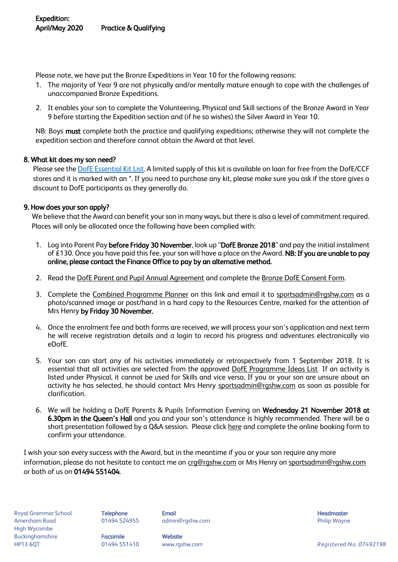Please note, we have put the Bronze Expeditions in Year 10 for the following reasons:

- 1. The majority of Year 9 are not physically and/or mentally mature enough to cope with the challenges of unaccompanied Bronze Expeditions.
- 2. It enables your son to complete the Volunteering, Physical and Skill sections of the Bronze Award in Year 9 before starting the Expedition section and (if he so wishes) the Silver Award in Year 10.

NB: Boys must complete both the practice and qualifying expeditions; otherwise they will not complete the expedition section and therefore cannot obtain the Award at that level.

## 8. What kit does my son need?

Please see th[e DofE Essential Kit List.](https://www.rgshw.com/_site/data/files/documents/school%20life/d%20of%20e/AC1CF5BB6F4DBDBF7F5B9266531BCD04.pdf) A limited supply of this kit is available on loan for free from the DofE/CCF stores and it is marked with an \*. If you need to purchase any kit, please make sure you ask if the store gives a discount to DofE participants as they generally do.

## 9. How does your son apply?

We believe that the Award can benefit your son in many ways, but there is also a level of commitment required. Places will only be allocated once the following have been complied with:

- 1. Log into Parent Pay before Friday 30 November, look up "DofE Bronze 2018" and pay the initial instalment of £130. Once you have paid this fee, your son will have a place on the Award. NB: If you are unable to pay online, please contact the Finance Office to pay by an alternative method.
- 2. Read the [DofE Parent and Pupil Annual Agreement](https://www.rgshw.com/_site/data/files/documents/school%20life/d%20of%20e/588D3FBBFF78CE940232852C95A2BBBE.pdf) and complete th[e Bronze DofE Consent Form.](https://forms.office.com/Pages/ResponsePage.aspx?id=Pu6mcJUbIEifB1_MiPbJhnRnkunlNPZBjTT4NgkP4L5URVVYVU5QMTc1WEE1VVZNS0YxODVEQlhZQS4u)
- 3. Complete the [Combined Programme Planner](https://www.rgshw.com/_site/data/files/documents/school%20life/d%20of%20e/615743FAD50BAB90C2A58EEF2C09EB3D.pdf) on this link and email it to [sportsadmin@rgshw.com](mailto:sportsadmin@rgshw.com) as a photo/scanned image or post/hand in a hard copy to the Resources Centre, marked for the attention of Mrs Henry by Friday 30 November.
- 4. Once the enrolment fee and both forms are received, we will process your son's application and next term he will receive registration details and a login to record his progress and adventures electronically via eDofE.
- 5. Your son can start any of his activities immediately or retrospectively from 1 September 2018. It is essential that all activities are selected from the approved [DofE Programme Ideas List](https://www.dofe.org/wp-content/uploads/2018/08/programme_ideas_-_complete.pdf) If an activity is listed under Physical, it cannot be used for Skills and vice versa. If you or your son are unsure about an activity he has selected, he should contact Mrs Henry [sportsadmin@rgshw.com](mailto:sportsadmin@rgshw.com) as soon as possible for clarification.
- 6. We will be holding a DofE Parents & Pupils Information Evening on Wednesday 21 November 2018 at 6.30pm in the Queen's Hall and you and your son's attendance is highly recommended. There will be a short presentation followed by a Q&A session. Please click [here](https://forms.office.com/Pages/ResponsePage.aspx?id=Pu6mcJUbIEifB1_MiPbJhnRnkunlNPZBjTT4NgkP4L5URTNMOThCSUFQWUo2QVlGMkJDVjhPRDlaSS4u) and complete the online booking form to confirm your attendance.

I wish your son every success with the Award, but in the meantime if you or your son require any more information, please do not hesitate to contact me on [crg@rgshw.com](mailto:crg@rgshw.com) or Mrs Henry on [sportsadmin@rgshw.com](mailto:sportsadmin@rgshw.com) or both of us on 01494 551404.

Royal Grammar School **Telephone Email Headmaster Email Headmaster Headmaster Headmaster** Amersham Road **8. Community 1997-1998** admin@rgshw.com **Amersham Road Philip Wayne** High Wycombe Buckinghamshire **Facsimile Facsimile** Website

HP13 6QT 01494 551410 www.rgshw.com *Registered No. 07492198*